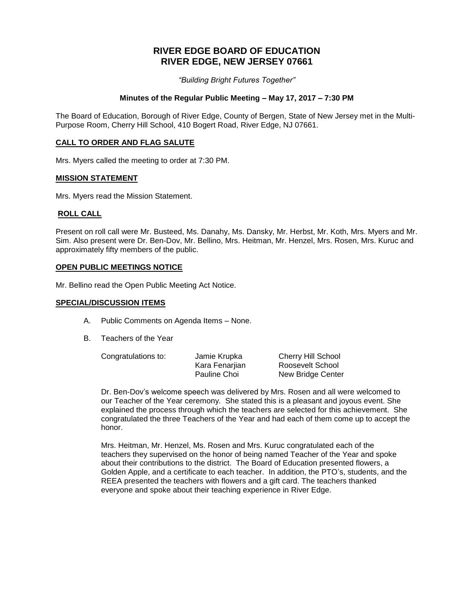# **RIVER EDGE BOARD OF EDUCATION RIVER EDGE, NEW JERSEY 07661**

*"Building Bright Futures Together"*

### **Minutes of the Regular Public Meeting – May 17, 2017 – 7:30 PM**

The Board of Education, Borough of River Edge, County of Bergen, State of New Jersey met in the Multi-Purpose Room, Cherry Hill School, 410 Bogert Road, River Edge, NJ 07661.

### **CALL TO ORDER AND FLAG SALUTE**

Mrs. Myers called the meeting to order at 7:30 PM.

#### **MISSION STATEMENT**

Mrs. Myers read the Mission Statement.

### **ROLL CALL**

Present on roll call were Mr. Busteed, Ms. Danahy, Ms. Dansky, Mr. Herbst, Mr. Koth, Mrs. Myers and Mr. Sim. Also present were Dr. Ben-Dov, Mr. Bellino, Mrs. Heitman, Mr. Henzel, Mrs. Rosen, Mrs. Kuruc and approximately fifty members of the public.

#### **OPEN PUBLIC MEETINGS NOTICE**

Mr. Bellino read the Open Public Meeting Act Notice.

#### **SPECIAL/DISCUSSION ITEMS**

- A. Public Comments on Agenda Items None.
- B. Teachers of the Year

| Congratulations to: | Jamie Krupka   | <b>Cherry Hill School</b> |
|---------------------|----------------|---------------------------|
|                     | Kara Fenarijan | Roosevelt School          |
|                     | Pauline Choi   | New Bridge Center         |

Dr. Ben-Dov's welcome speech was delivered by Mrs. Rosen and all were welcomed to our Teacher of the Year ceremony. She stated this is a pleasant and joyous event. She explained the process through which the teachers are selected for this achievement. She congratulated the three Teachers of the Year and had each of them come up to accept the honor.

Mrs. Heitman, Mr. Henzel, Ms. Rosen and Mrs. Kuruc congratulated each of the teachers they supervised on the honor of being named Teacher of the Year and spoke about their contributions to the district. The Board of Education presented flowers, a Golden Apple, and a certificate to each teacher. In addition, the PTO's, students, and the REEA presented the teachers with flowers and a gift card. The teachers thanked everyone and spoke about their teaching experience in River Edge.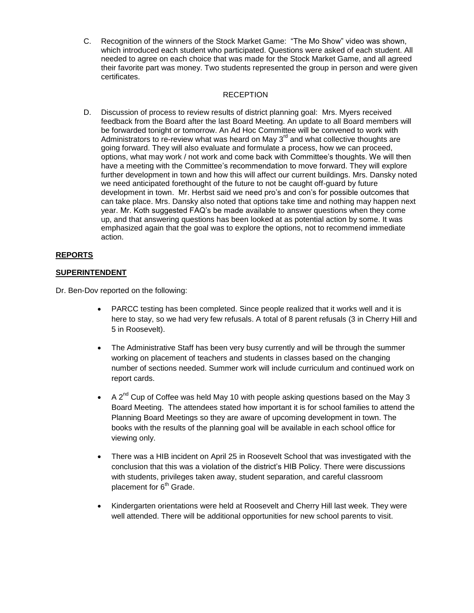C. Recognition of the winners of the Stock Market Game: "The Mo Show" video was shown, which introduced each student who participated. Questions were asked of each student. All needed to agree on each choice that was made for the Stock Market Game, and all agreed their favorite part was money. Two students represented the group in person and were given certificates.

## **RECEPTION**

D. Discussion of process to review results of district planning goal: Mrs. Myers received feedback from the Board after the last Board Meeting. An update to all Board members will be forwarded tonight or tomorrow. An Ad Hoc Committee will be convened to work with Administrators to re-review what was heard on May  $3<sup>rd</sup>$  and what collective thoughts are going forward. They will also evaluate and formulate a process, how we can proceed, options, what may work / not work and come back with Committee's thoughts. We will then have a meeting with the Committee's recommendation to move forward. They will explore further development in town and how this will affect our current buildings. Mrs. Dansky noted we need anticipated forethought of the future to not be caught off-guard by future development in town. Mr. Herbst said we need pro's and con's for possible outcomes that can take place. Mrs. Dansky also noted that options take time and nothing may happen next year. Mr. Koth suggested FAQ's be made available to answer questions when they come up, and that answering questions has been looked at as potential action by some. It was emphasized again that the goal was to explore the options, not to recommend immediate action.

## **REPORTS**

## **SUPERINTENDENT**

Dr. Ben-Dov reported on the following:

- PARCC testing has been completed. Since people realized that it works well and it is here to stay, so we had very few refusals. A total of 8 parent refusals (3 in Cherry Hill and 5 in Roosevelt).
- The Administrative Staff has been very busy currently and will be through the summer working on placement of teachers and students in classes based on the changing number of sections needed. Summer work will include curriculum and continued work on report cards.
- A  $2^{nd}$  Cup of Coffee was held May 10 with people asking questions based on the May 3 Board Meeting. The attendees stated how important it is for school families to attend the Planning Board Meetings so they are aware of upcoming development in town. The books with the results of the planning goal will be available in each school office for viewing only.
- There was a HIB incident on April 25 in Roosevelt School that was investigated with the conclusion that this was a violation of the district's HIB Policy. There were discussions with students, privileges taken away, student separation, and careful classroom placement for 6<sup>th</sup> Grade.
- Kindergarten orientations were held at Roosevelt and Cherry Hill last week. They were well attended. There will be additional opportunities for new school parents to visit.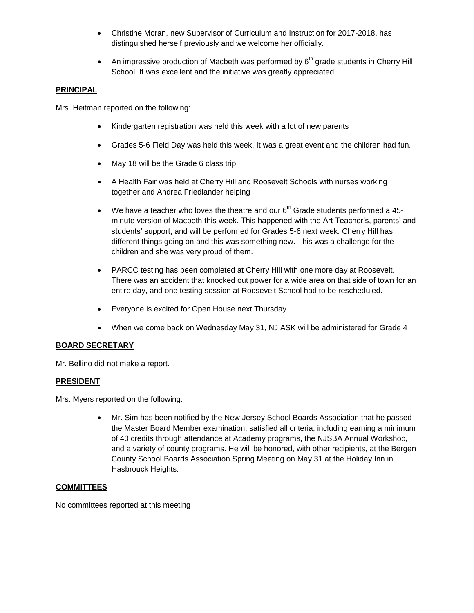- Christine Moran, new Supervisor of Curriculum and Instruction for 2017-2018, has distinguished herself previously and we welcome her officially.
- An impressive production of Macbeth was performed by  $6<sup>th</sup>$  grade students in Cherry Hill School. It was excellent and the initiative was greatly appreciated!

## **PRINCIPAL**

Mrs. Heitman reported on the following:

- Kindergarten registration was held this week with a lot of new parents
- Grades 5-6 Field Day was held this week. It was a great event and the children had fun.
- May 18 will be the Grade 6 class trip
- A Health Fair was held at Cherry Hill and Roosevelt Schools with nurses working together and Andrea Friedlander helping
- $\bullet$  We have a teacher who loves the theatre and our  $6<sup>th</sup>$  Grade students performed a 45minute version of Macbeth this week. This happened with the Art Teacher's, parents' and students' support, and will be performed for Grades 5-6 next week. Cherry Hill has different things going on and this was something new. This was a challenge for the children and she was very proud of them.
- PARCC testing has been completed at Cherry Hill with one more day at Roosevelt. There was an accident that knocked out power for a wide area on that side of town for an entire day, and one testing session at Roosevelt School had to be rescheduled.
- Everyone is excited for Open House next Thursday
- When we come back on Wednesday May 31, NJ ASK will be administered for Grade 4

## **BOARD SECRETARY**

Mr. Bellino did not make a report.

## **PRESIDENT**

Mrs. Myers reported on the following:

 Mr. Sim has been notified by the New Jersey School Boards Association that he passed the Master Board Member examination, satisfied all criteria, including earning a minimum of 40 credits through attendance at Academy programs, the NJSBA Annual Workshop, and a variety of county programs. He will be honored, with other recipients, at the Bergen County School Boards Association Spring Meeting on May 31 at the Holiday Inn in Hasbrouck Heights.

### **COMMITTEES**

No committees reported at this meeting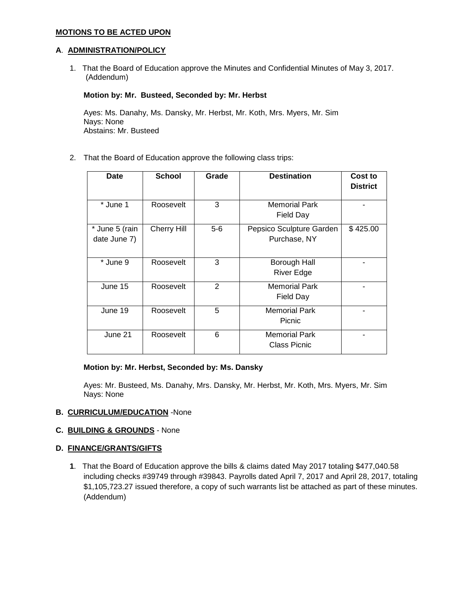### **MOTIONS TO BE ACTED UPON**

### **A**. **ADMINISTRATION/POLICY**

1. That the Board of Education approve the Minutes and Confidential Minutes of May 3, 2017. (Addendum)

## **Motion by: Mr. Busteed, Seconded by: Mr. Herbst**

Ayes: Ms. Danahy, Ms. Dansky, Mr. Herbst, Mr. Koth, Mrs. Myers, Mr. Sim Nays: None Abstains: Mr. Busteed

2. That the Board of Education approve the following class trips:

| Date                           | <b>School</b>      | Grade | <b>Destination</b>                       | Cost to<br><b>District</b> |
|--------------------------------|--------------------|-------|------------------------------------------|----------------------------|
| * June 1                       | Roosevelt          | 3     | <b>Memorial Park</b><br><b>Field Day</b> |                            |
| * June 5 (rain<br>date June 7) | <b>Cherry Hill</b> | $5-6$ | Pepsico Sculpture Garden<br>Purchase, NY | \$425.00                   |
| * June 9                       | Roosevelt          | 3     | Borough Hall<br><b>River Edge</b>        |                            |
| June 15                        | Roosevelt          | 2     | <b>Memorial Park</b><br><b>Field Day</b> |                            |
| June 19                        | Roosevelt          | 5     | <b>Memorial Park</b><br>Picnic           |                            |
| June 21                        | Roosevelt          | 6     | <b>Memorial Park</b><br>Class Picnic     |                            |

## **Motion by: Mr. Herbst, Seconded by: Ms. Dansky**

Ayes: Mr. Busteed, Ms. Danahy, Mrs. Dansky, Mr. Herbst, Mr. Koth, Mrs. Myers, Mr. Sim Nays: None

## **B. CURRICULUM/EDUCATION** -None

### **C. BUILDING & GROUNDS** - None

## **D. FINANCE/GRANTS/GIFTS**

**1**. That the Board of Education approve the bills & claims dated May 2017 totaling \$477,040.58 including checks #39749 through #39843. Payrolls dated April 7, 2017 and April 28, 2017, totaling \$1,105,723.27 issued therefore, a copy of such warrants list be attached as part of these minutes. (Addendum)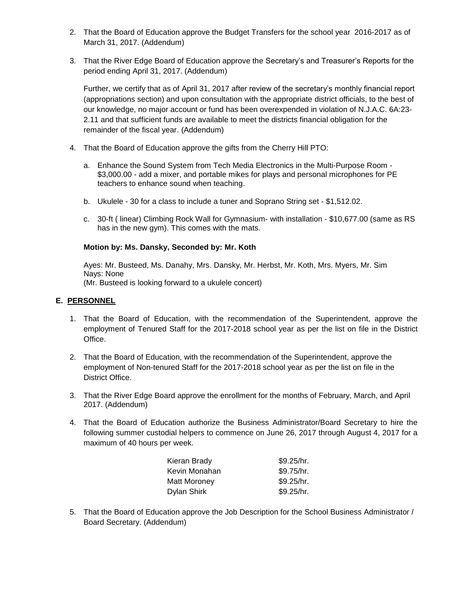- 2. That the Board of Education approve the Budget Transfers for the school year 2016-2017 as of March 31, 2017. (Addendum)
- 3. That the River Edge Board of Education approve the Secretary's and Treasurer's Reports for the period ending April 31, 2017. (Addendum)

Further, we certify that as of April 31, 2017 after review of the secretary's monthly financial report (appropriations section) and upon consultation with the appropriate district officials, to the best of our knowledge, no major account or fund has been overexpended in violation of N.J.A.C. 6A:23- 2.11 and that sufficient funds are available to meet the districts financial obligation for the remainder of the fiscal year. (Addendum)

- 4. That the Board of Education approve the gifts from the Cherry Hill PTO:
	- a. Enhance the Sound System from Tech Media Electronics in the Multi-Purpose Room \$3,000.00 - add a mixer, and portable mikes for plays and personal microphones for PE teachers to enhance sound when teaching.
	- b. Ukulele 30 for a class to include a tuner and Soprano String set \$1,512.02.
	- c. 30-ft ( linear) Climbing Rock Wall for Gymnasium- with installation \$10,677.00 (same as RS has in the new gym). This comes with the mats.

### **Motion by: Ms. Dansky, Seconded by: Mr. Koth**

Ayes: Mr. Busteed, Ms. Danahy, Mrs. Dansky, Mr. Herbst, Mr. Koth, Mrs. Myers, Mr. Sim Nays: None (Mr. Busteed is looking forward to a ukulele concert)

**E. PERSONNEL**

- 1. That the Board of Education, with the recommendation of the Superintendent, approve the employment of Tenured Staff for the 2017-2018 school year as per the list on file in the District Office.
- 2. That the Board of Education, with the recommendation of the Superintendent, approve the employment of Non-tenured Staff for the 2017-2018 school year as per the list on file in the District Office.
- 3. That the River Edge Board approve the enrollment for the months of February, March, and April 2017. (Addendum)
- 4. That the Board of Education authorize the Business Administrator/Board Secretary to hire the following summer custodial helpers to commence on June 26, 2017 through August 4, 2017 for a maximum of 40 hours per week.

| Kieran Brady  | \$9.25/hr. |
|---------------|------------|
| Kevin Monahan | \$9.75/hr. |
| Matt Moroney  | \$9.25/hr. |
| Dylan Shirk   | \$9.25/hr. |

5. That the Board of Education approve the Job Description for the School Business Administrator / Board Secretary. (Addendum)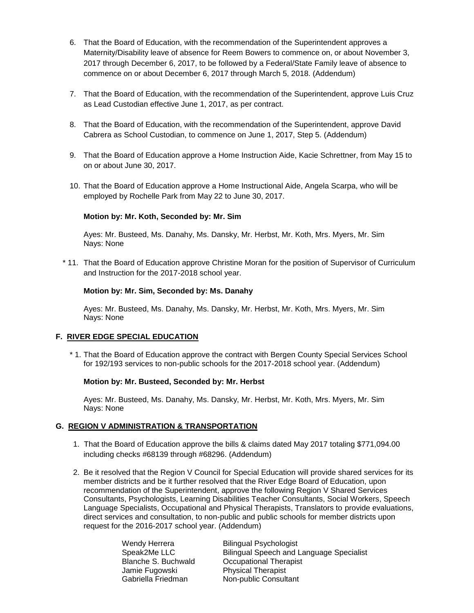- 6. That the Board of Education, with the recommendation of the Superintendent approves a Maternity/Disability leave of absence for Reem Bowers to commence on, or about November 3, 2017 through December 6, 2017, to be followed by a Federal/State Family leave of absence to commence on or about December 6, 2017 through March 5, 2018. (Addendum)
- 7. That the Board of Education, with the recommendation of the Superintendent, approve Luis Cruz as Lead Custodian effective June 1, 2017, as per contract.
- 8. That the Board of Education, with the recommendation of the Superintendent, approve David Cabrera as School Custodian, to commence on June 1, 2017, Step 5. (Addendum)
- 9. That the Board of Education approve a Home Instruction Aide, Kacie Schrettner, from May 15 to on or about June 30, 2017.
- 10. That the Board of Education approve a Home Instructional Aide, Angela Scarpa, who will be employed by Rochelle Park from May 22 to June 30, 2017.

### **Motion by: Mr. Koth, Seconded by: Mr. Sim**

Ayes: Mr. Busteed, Ms. Danahy, Ms. Dansky, Mr. Herbst, Mr. Koth, Mrs. Myers, Mr. Sim Nays: None

\* 11. That the Board of Education approve Christine Moran for the position of Supervisor of Curriculum and Instruction for the 2017-2018 school year.

#### **Motion by: Mr. Sim, Seconded by: Ms. Danahy**

Ayes: Mr. Busteed, Ms. Danahy, Ms. Dansky, Mr. Herbst, Mr. Koth, Mrs. Myers, Mr. Sim Nays: None

### **F. RIVER EDGE SPECIAL EDUCATION**

\* 1. That the Board of Education approve the contract with Bergen County Special Services School for 192/193 services to non-public schools for the 2017-2018 school year. (Addendum)

#### **Motion by: Mr. Busteed, Seconded by: Mr. Herbst**

Ayes: Mr. Busteed, Ms. Danahy, Ms. Dansky, Mr. Herbst, Mr. Koth, Mrs. Myers, Mr. Sim Nays: None

#### **G. REGION V ADMINISTRATION & TRANSPORTATION**

- 1. That the Board of Education approve the bills & claims dated May 2017 totaling \$771,094.00 including checks #68139 through #68296. (Addendum)
- 2. Be it resolved that the Region V Council for Special Education will provide shared services for its member districts and be it further resolved that the River Edge Board of Education, upon recommendation of the Superintendent, approve the following Region V Shared Services Consultants, Psychologists, Learning Disabilities Teacher Consultants, Social Workers, Speech Language Specialists, Occupational and Physical Therapists, Translators to provide evaluations, direct services and consultation, to non-public and public schools for member districts upon request for the 2016-2017 school year. (Addendum)

Jamie Fugowski **Physical Therapist**<br>Gabriella Friedman **Non-public Consult** 

Wendy Herrera Bilingual Psychologist Speak2Me LLC Bilingual Speech and Language Specialist Blanche S. Buchwald Occupational Therapist Non-public Consultant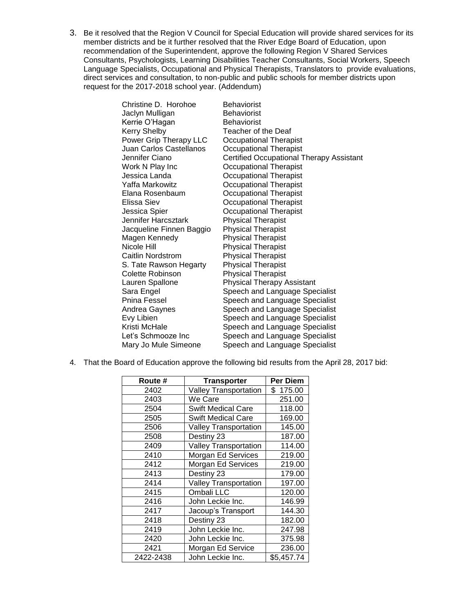3. Be it resolved that the Region V Council for Special Education will provide shared services for its member districts and be it further resolved that the River Edge Board of Education, upon recommendation of the Superintendent, approve the following Region V Shared Services Consultants, Psychologists, Learning Disabilities Teacher Consultants, Social Workers, Speech Language Specialists, Occupational and Physical Therapists, Translators to provide evaluations, direct services and consultation, to non-public and public schools for member districts upon request for the 2017-2018 school year. (Addendum)

| Christine D. Horohoe     | <b>Behaviorist</b>                              |
|--------------------------|-------------------------------------------------|
| Jaclyn Mulligan          | <b>Behaviorist</b>                              |
| Kerrie O'Hagan           | <b>Behaviorist</b>                              |
| <b>Kerry Shelby</b>      | Teacher of the Deaf                             |
| Power Grip Therapy LLC   | Occupational Therapist                          |
| Juan Carlos Castellanos  | <b>Occupational Therapist</b>                   |
| Jennifer Ciano           | <b>Certified Occupational Therapy Assistant</b> |
| Work N Play Inc          | <b>Occupational Therapist</b>                   |
| Jessica Landa            | Occupational Therapist                          |
| Yaffa Markowitz          | <b>Occupational Therapist</b>                   |
| Elana Rosenbaum          | <b>Occupational Therapist</b>                   |
| Elissa Siev              | Occupational Therapist                          |
| Jessica Spier            | Occupational Therapist                          |
| Jennifer Harcsztark      | <b>Physical Therapist</b>                       |
| Jacqueline Finnen Baggio | <b>Physical Therapist</b>                       |
| Magen Kennedy            | <b>Physical Therapist</b>                       |
| Nicole Hill              | <b>Physical Therapist</b>                       |
| Caitlin Nordstrom        | <b>Physical Therapist</b>                       |
| S. Tate Rawson Hegarty   | <b>Physical Therapist</b>                       |
| Colette Robinson         | <b>Physical Therapist</b>                       |
| Lauren Spallone          | <b>Physical Therapy Assistant</b>               |
| Sara Engel               | Speech and Language Specialist                  |
| Pnina Fessel             | Speech and Language Specialist                  |
| Andrea Gaynes            | Speech and Language Specialist                  |
| Evy Libien               | Speech and Language Specialist                  |
| Kristi McHale            | Speech and Language Specialist                  |
| Let's Schmooze Inc       | Speech and Language Specialist                  |
| Mary Jo Mule Simeone     | Speech and Language Specialist                  |
|                          |                                                 |

4. That the Board of Education approve the following bid results from the April 28, 2017 bid:

| Route #   | <b>Transporter</b>           | Per Diem   |
|-----------|------------------------------|------------|
| 2402      | <b>Valley Transportation</b> | \$175.00   |
| 2403      | We Care                      | 251.00     |
| 2504      | <b>Swift Medical Care</b>    | 118.00     |
| 2505      | <b>Swift Medical Care</b>    | 169.00     |
| 2506      | <b>Valley Transportation</b> | 145.00     |
| 2508      | Destiny 23                   | 187.00     |
| 2409      | <b>Valley Transportation</b> | 114.00     |
| 2410      | Morgan Ed Services           | 219.00     |
| 2412      | Morgan Ed Services           | 219.00     |
| 2413      | Destiny 23                   | 179.00     |
| 2414      | <b>Valley Transportation</b> | 197.00     |
| 2415      | Ombali LLC                   | 120.00     |
| 2416      | John Leckie Inc.             | 146.99     |
| 2417      | Jacoup's Transport           | 144.30     |
| 2418      | Destiny 23                   | 182.00     |
| 2419      | John Leckie Inc.             | 247.98     |
| 2420      | John Leckie Inc.             | 375.98     |
| 2421      | Morgan Ed Service            | 236.00     |
| 2422-2438 | John Leckie Inc.             | \$5,457.74 |